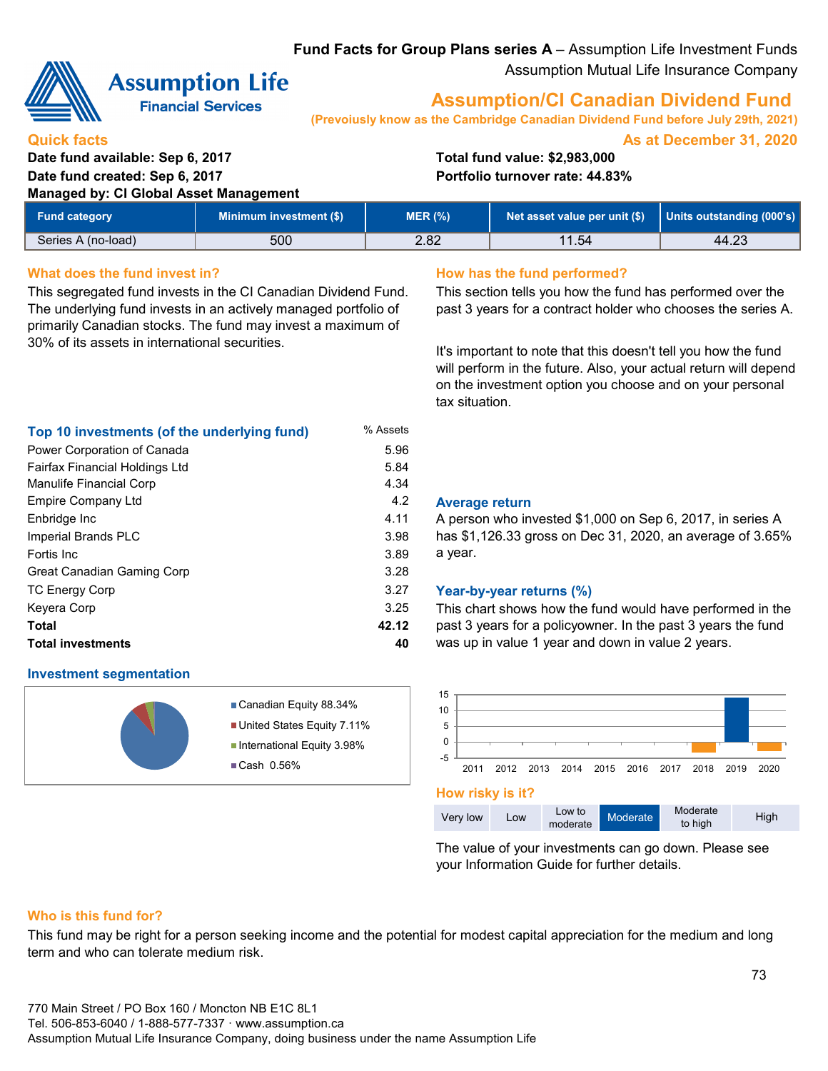### **Fund Facts for Group Plans series A** – Assumption Life Investment Funds Assumption Mutual Life Insurance Company



**Quick facts**

# **Assumption Life**

**Financial Services** 

## **Assumption/CI Canadian Dividend Fund**

**(Prevoiusly know as the Cambridge Canadian Dividend Fund before July 29th, 2021)**

**As at December 31, 2020**

**Date fund available: Sep 6, 2017 Total fund value: \$2,983,000 Date fund created: Sep 6, 2017 Portfolio turnover rate: 44.83%**

**Managed by: CI Global Asset Management Units outstanding (000's)** 11.54 44.23 500 **Fund category** Series A (no-load) **Minimum investment (\$) MER (%)** 2.82 **Net asset value per unit (\$)**

5.84

3.98 3.89 3.28

3.25

#### **What does the fund invest in? How has the fund performed?**

This segregated fund invests in the CI Canadian Dividend Fund. The underlying fund invests in an actively managed portfolio of primarily Canadian stocks. The fund may invest a maximum of 30% of its assets in international securities.

**Top 10 investments (of the underlying fund)** % Assets Power Corporation of Canada 5.96

Manulife Financial Corp 4.34

Enbridge Inc 4.11

**Total 42.12 Total investments 40**

This section tells you how the fund has performed over the past 3 years for a contract holder who chooses the series A.

It's important to note that this doesn't tell you how the fund will perform in the future. Also, your actual return will depend on the investment option you choose and on your personal tax situation.

#### 4.2 **Average return**

A person who invested \$1,000 on Sep 6, 2017, in series A has \$1,126.33 gross on Dec 31, 2020, an average of 3.65% a year.

#### 3.27 **Year-by-year returns (%)**

This chart shows how the fund would have performed in the past 3 years for a policyowner. In the past 3 years the fund was up in value 1 year and down in value 2 years.



**How risky is it?**



The value of your investments can go down. Please see your Information Guide for further details.

#### **Who is this fund for?**

**Investment segmentation**

Great Canadian Gaming Corp

TC Energy Corp Keyera Corp

Fortis Inc

Fairfax Financial Holdings Ltd

Empire Company Ltd

Imperial Brands PLC

This fund may be right for a person seeking income and the potential for modest capital appreciation for the medium and long term and who can tolerate medium risk.

Canadian Equity 88.34% United States Equity 7.11% ■ International Equity 3.98%

■Cash 0.56%